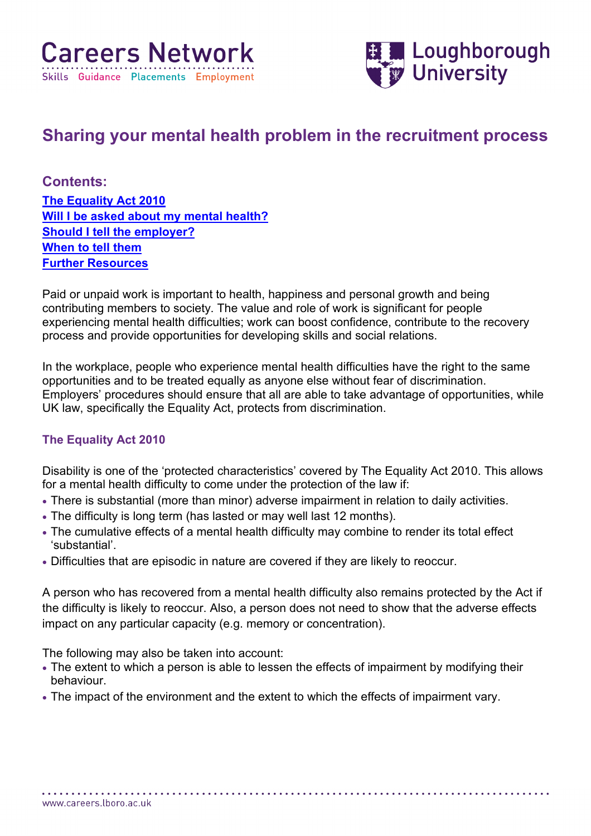

# **Sharing your mental health problem in the recruitment process**

**Contents:**

**[The Equality Act 2010](#page-0-0) Will I be [asked about my mental health?](#page-1-0) [Should I tell the employer?](#page-1-1) [When to tell them](#page-2-0) [Further Resources](#page-3-0)**

Paid or unpaid work is important to health, happiness and personal growth and being contributing members to society. The value and role of work is significant for people experiencing mental health difficulties; work can boost confidence, contribute to the recovery process and provide opportunities for developing skills and social relations.

In the workplace, people who experience mental health difficulties have the right to the same opportunities and to be treated equally as anyone else without fear of discrimination. Employers' procedures should ensure that all are able to take advantage of opportunities, while UK law, specifically the Equality Act, protects from discrimination.

## <span id="page-0-0"></span>**The Equality Act 2010**

Disability is one of the 'protected characteristics' covered by The Equality Act 2010. This allows for a mental health difficulty to come under the protection of the law if:

- There is substantial (more than minor) adverse impairment in relation to daily activities.
- The difficulty is long term (has lasted or may well last 12 months).
- The cumulative effects of a mental health difficulty may combine to render its total effect 'substantial'.
- Difficulties that are episodic in nature are covered if they are likely to reoccur.

A person who has recovered from a mental health difficulty also remains protected by the Act if the difficulty is likely to reoccur. Also, a person does not need to show that the adverse effects impact on any particular capacity (e.g. memory or concentration).

The following may also be taken into account:

. . . . . . . . . . .

• The extent to which a person is able to lessen the effects of impairment by modifying their behaviour.

• The impact of the environment and the extent to which the effects of impairment vary.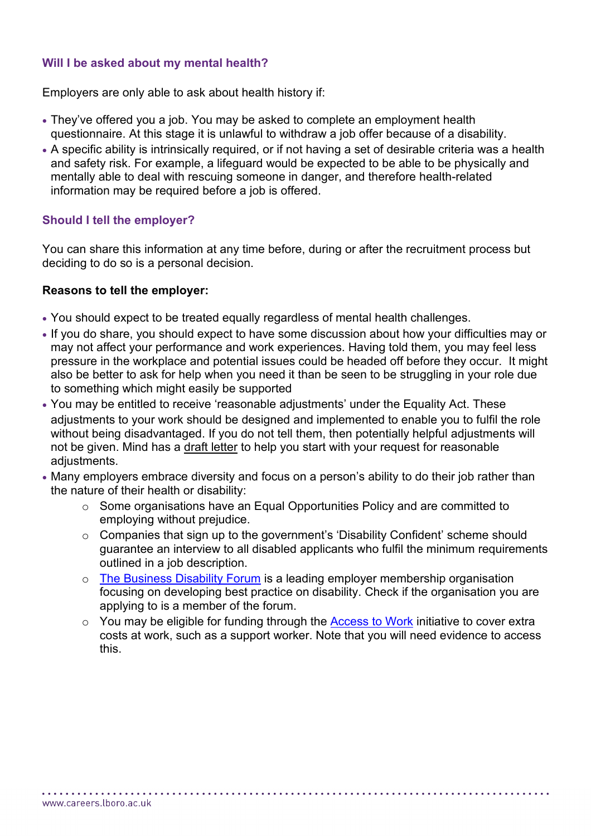#### <span id="page-1-0"></span>**Will I be asked about my mental health?**

Employers are only able to ask about health history if:

- They've offered you a job. You may be asked to complete an employment health questionnaire. At this stage it is unlawful to withdraw a job offer because of a disability.
- A specific ability is intrinsically required, or if not having a set of desirable criteria was a health and safety risk. For example, a lifeguard would be expected to be able to be physically and mentally able to deal with rescuing someone in danger, and therefore health-related information may be required before a job is offered.

## <span id="page-1-1"></span>**Should I tell the employer?**

You can share this information at any time before, during or after the recruitment process but deciding to do so is a personal decision.

#### **Reasons to tell the employer:**

- You should expect to be treated equally regardless of mental health challenges.
- If you do share, you should expect to have some discussion about how your difficulties may or may not affect your performance and work experiences. Having told them, you may feel less pressure in the workplace and potential issues could be headed off before they occur. It might also be better to ask for help when you need it than be seen to be struggling in your role due to something which might easily be supported
- You may be entitled to receive 'reasonable adjustments' under the Equality Act. These adjustments to your work should be designed and implemented to enable you to fulfil the role without being disadvantaged. If you do not tell them, then potentially helpful adjustments will not be given. Mind has a [draft letter](https://www.mind.org.uk/media/1048202/template-letter-discrimination-at-work-1.pdf) to help you start with your request for reasonable adjustments.
- Many employers embrace diversity and focus on a person's ability to do their job rather than the nature of their health or disability:
	- o Some organisations have an Equal Opportunities Policy and are committed to employing without prejudice.
	- o Companies that sign up to the government's 'Disability Confident' scheme should guarantee an interview to all disabled applicants who fulfil the minimum requirements outlined in a job description.
	- o [The Business Disability](https://businessdisabilityforum.org.uk/) Forum is a leading employer membership organisation focusing on developing best practice on disability. Check if the organisation you are applying to is a member of the forum.
	- o You may be eligible for funding through the [Access to Work](https://www.gov.uk/access-to-work) initiative to cover extra costs at work, such as a support worker. Note that you will need evidence to access this.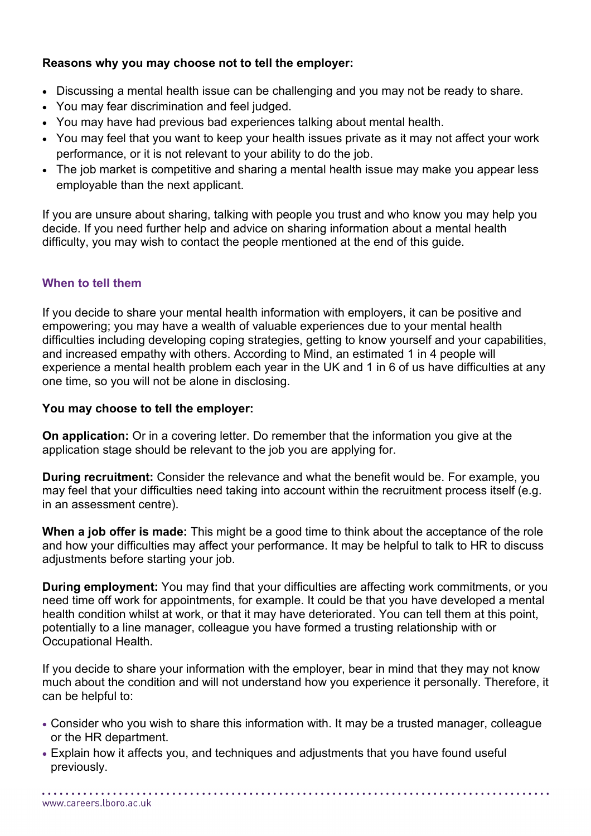## **Reasons why you may choose not to tell the employer:**

- Discussing a mental health issue can be challenging and you may not be ready to share.
- You may fear discrimination and feel judged.
- You may have had previous bad experiences talking about mental health.
- You may feel that you want to keep your health issues private as it may not affect your work performance, or it is not relevant to your ability to do the job.
- The job market is competitive and sharing a mental health issue may make you appear less employable than the next applicant.

If you are unsure about sharing, talking with people you trust and who know you may help you decide. If you need further help and advice on sharing information about a mental health difficulty, you may wish to contact the people mentioned at the end of this guide.

## <span id="page-2-0"></span>**When to tell them**

If you decide to share your mental health information with employers, it can be positive and empowering; you may have a wealth of valuable experiences due to your mental health difficulties including developing coping strategies, getting to know yourself and your capabilities, and increased empathy with others. According to Mind, an estimated 1 in 4 people will experience a mental health problem each year in the UK and 1 in 6 of us have difficulties at any one time, so you will not be alone in disclosing.

#### **You may choose to tell the employer:**

**On application:** Or in a covering letter. Do remember that the information you give at the application stage should be relevant to the job you are applying for.

**During recruitment:** Consider the relevance and what the benefit would be. For example, you may feel that your difficulties need taking into account within the recruitment process itself (e.g. in an assessment centre).

**When a job offer is made:** This might be a good time to think about the acceptance of the role and how your difficulties may affect your performance. It may be helpful to talk to HR to discuss adjustments before starting your job.

**During employment:** You may find that your difficulties are affecting work commitments, or you need time off work for appointments, for example. It could be that you have developed a mental health condition whilst at work, or that it may have deteriorated. You can tell them at this point, potentially to a line manager, colleague you have formed a trusting relationship with or Occupational Health.

If you decide to share your information with the employer, bear in mind that they may not know much about the condition and will not understand how you experience it personally. Therefore, it can be helpful to:

- Consider who you wish to share this information with. It may be a trusted manager, colleague or the HR department.
- Explain how it affects you, and techniques and adjustments that you have found useful previously.

www.careers.lboro.ac.uk